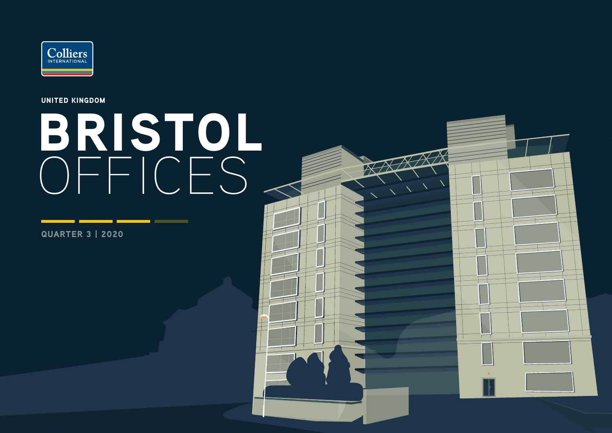

UNITED KINGDOM

# BRISTOL OFFICES

QUARTER 3 | 2020

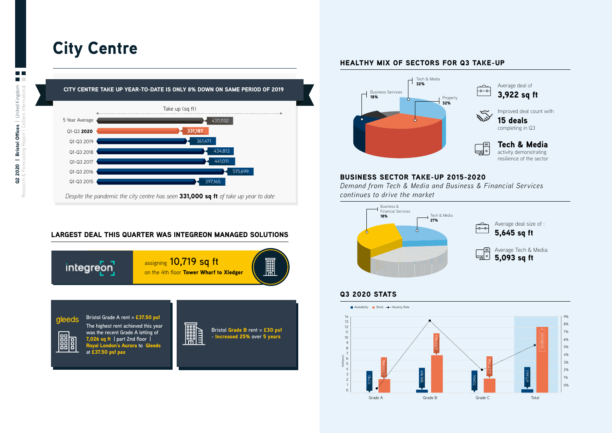# City Centre



*Despite the pandemic the city centre has seen* 331,000 sq ft *of take up year to date*

## LARGEST DEAL THIS QUARTER WAS INTEGREON MANAGED SOLUTIONS



## HEALTHY MIX OF SECTORS FOR Q3 TAKE-UP



### BUSINESS SECTOR TAKE-UP 2015-2020

*Demand from Tech & Media and Business & Financial Services continues to drive the market*



## Q3 2020 STATS

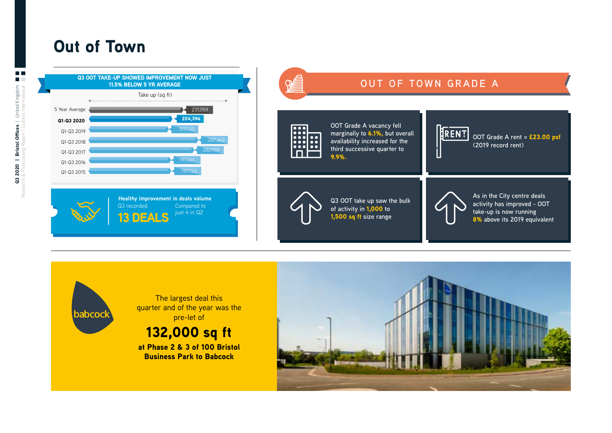# Out of Town